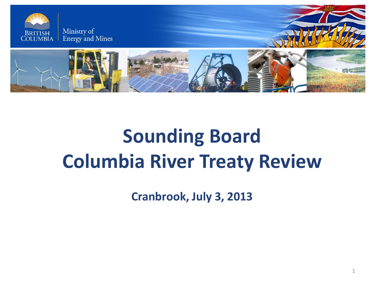

# **Sounding Board Columbia River Treaty Review**

**Cranbrook, July 3, 2013**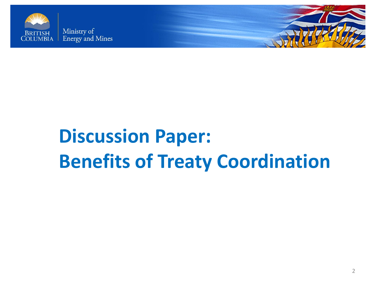



# **Discussion Paper: Benefits of Treaty Coordination**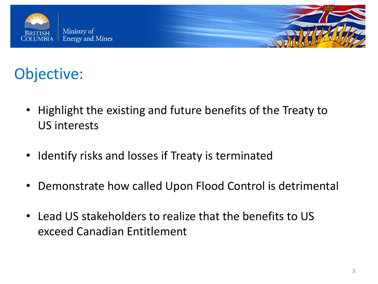



### Objective:

- Highlight the existing and future benefits of the Treaty to US interests
- Identify risks and losses if Treaty is terminated
- Demonstrate how called Upon Flood Control is detrimental
- Lead US stakeholders to realize that the benefits to US exceed Canadian Entitlement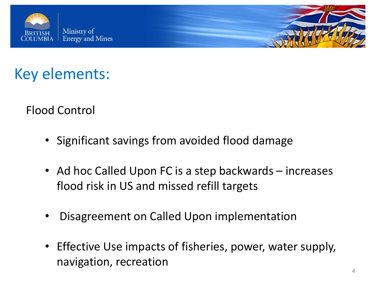



Flood Control

- Significant savings from avoided flood damage
- Ad hoc Called Upon FC is a step backwards increases flood risk in US and missed refill targets
- Disagreement on Called Upon implementation
- Effective Use impacts of fisheries, power, water supply, navigation, recreation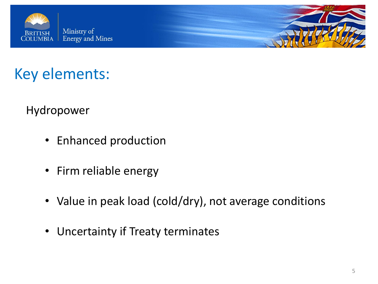



Hydropower

- Enhanced production
- Firm reliable energy
- Value in peak load (cold/dry), not average conditions
- Uncertainty if Treaty terminates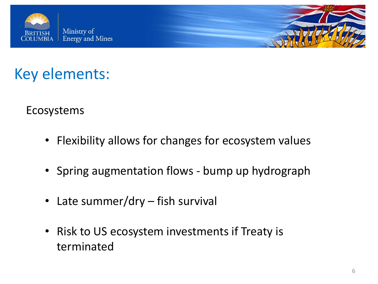



Ecosystems

- Flexibility allows for changes for ecosystem values
- Spring augmentation flows bump up hydrograph
- Late summer/dry fish survival
- Risk to US ecosystem investments if Treaty is terminated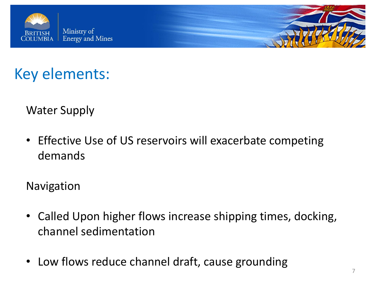



Water Supply

• Effective Use of US reservoirs will exacerbate competing demands

Navigation

- Called Upon higher flows increase shipping times, docking, channel sedimentation
- Low flows reduce channel draft, cause grounding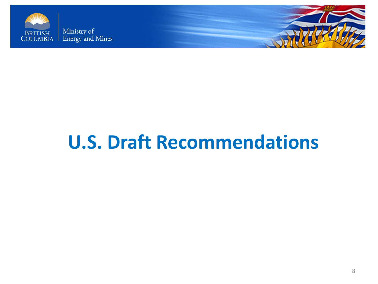



## **U.S. Draft Recommendations**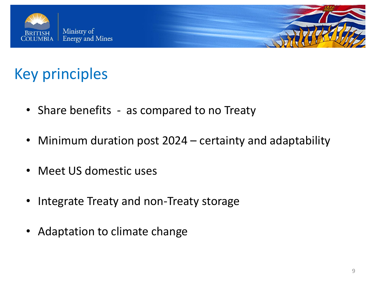



### Key principles

- Share benefits as compared to no Treaty
- Minimum duration post 2024 certainty and adaptability
- Meet US domestic uses
- Integrate Treaty and non-Treaty storage
- Adaptation to climate change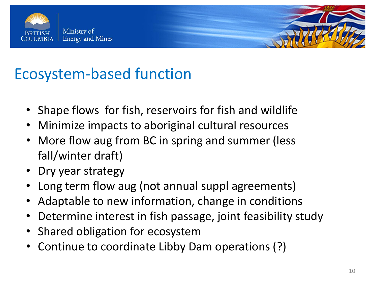



#### Ecosystem-based function

- Shape flows for fish, reservoirs for fish and wildlife
- Minimize impacts to aboriginal cultural resources
- More flow aug from BC in spring and summer (less fall/winter draft)
- Dry year strategy
- Long term flow aug (not annual suppl agreements)
- Adaptable to new information, change in conditions
- Determine interest in fish passage, joint feasibility study
- Shared obligation for ecosystem
- Continue to coordinate Libby Dam operations (?)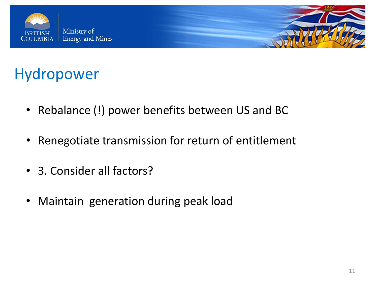



#### Hydropower

- Rebalance (!) power benefits between US and BC
- Renegotiate transmission for return of entitlement
- 3. Consider all factors?
- Maintain generation during peak load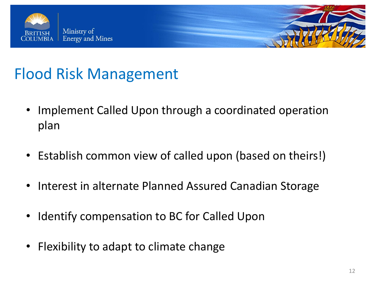



## Flood Risk Management

- Implement Called Upon through a coordinated operation plan
- Establish common view of called upon (based on theirs!)
- Interest in alternate Planned Assured Canadian Storage
- Identify compensation to BC for Called Upon
- Flexibility to adapt to climate change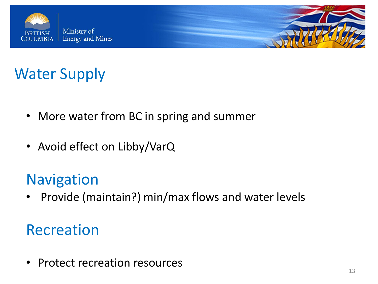



## Water Supply

- More water from BC in spring and summer
- Avoid effect on Libby/VarQ

#### **Navigation**

• Provide (maintain?) min/max flows and water levels

#### Recreation

• Protect recreation resources